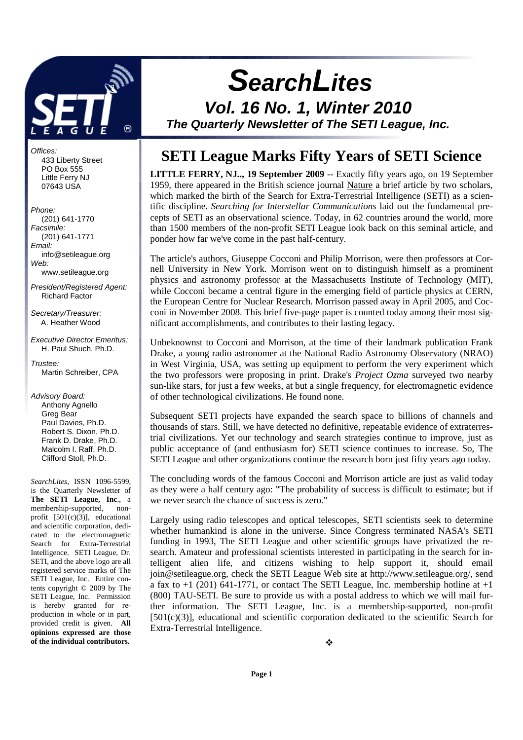

Offices: 433 Liberty Street PO Box 555 Little Ferry NJ 07643 USA

#### Phone:

 (201) 641-1770 Facsimile: (201) 641-1771 Email: info@setileague.org Web: www.setileague.org President/Registered Agent: Richard Factor

Secretary/Treasurer: A. Heather Wood

Executive Director Emeritus: H. Paul Shuch, Ph.D.

Trustee: Martin Schreiber, CPA

Advisory Board: Anthony Agnello Greg Bear Paul Davies, Ph.D. Robert S. Dixon, Ph.D. Frank D. Drake, Ph.D. Malcolm I. Raff, Ph.D. Clifford Stoll, Ph.D.

*SearchLites*, ISSN 1096-5599, is the Quarterly Newsletter of **The SETI League, Inc**., a membership-supported, nonprofit  $[501(c)(3)]$ , educational and scientific corporation, dedicated to the electromagnetic Search for Extra-Terrestrial Intelligence. SETI League, Dr. SETI, and the above logo are all registered service marks of The SETI League, Inc. Entire contents copyright © 2009 by The SETI League, Inc. Permission is hereby granted for reproduction in whole or in part, provided credit is given. **All opinions expressed are those of the individual contributors.** 

# **SETI League Marks Fifty Years of SETI Science**

 **SearchLites** 

**Vol. 16 No. 1, Winter 2010 The Quarterly Newsletter of The SETI League, Inc.** 

**LITTLE FERRY, NJ.., 19 September 2009 --** Exactly fifty years ago, on 19 September 1959, there appeared in the British science journal Nature a brief article by two scholars, which marked the birth of the Search for Extra-Terrestrial Intelligence (SETI) as a scientific discipline. *Searching for Interstellar Communications* laid out the fundamental precepts of SETI as an observational science. Today, in 62 countries around the world, more than 1500 members of the non-profit SETI League look back on this seminal article, and ponder how far we've come in the past half-century.

The article's authors, Giuseppe Cocconi and Philip Morrison, were then professors at Cornell University in New York. Morrison went on to distinguish himself as a prominent physics and astronomy professor at the Massachusetts Institute of Technology (MIT), while Cocconi became a central figure in the emerging field of particle physics at CERN, the European Centre for Nuclear Research. Morrison passed away in April 2005, and Cocconi in November 2008. This brief five-page paper is counted today among their most significant accomplishments, and contributes to their lasting legacy.

Unbeknownst to Cocconi and Morrison, at the time of their landmark publication Frank Drake, a young radio astronomer at the National Radio Astronomy Observatory (NRAO) in West Virginia, USA, was setting up equipment to perform the very experiment which the two professors were proposing in print. Drake's *Project Ozma* surveyed two nearby sun-like stars, for just a few weeks, at but a single frequency, for electromagnetic evidence of other technological civilizations. He found none.

Subsequent SETI projects have expanded the search space to billions of channels and thousands of stars. Still, we have detected no definitive, repeatable evidence of extraterrestrial civilizations. Yet our technology and search strategies continue to improve, just as public acceptance of (and enthusiasm for) SETI science continues to increase. So, The SETI League and other organizations continue the research born just fifty years ago today.

The concluding words of the famous Cocconi and Morrison article are just as valid today as they were a half century ago: "The probability of success is difficult to estimate; but if we never search the chance of success is zero."

Largely using radio telescopes and optical telescopes, SETI scientists seek to determine whether humankind is alone in the universe. Since Congress terminated NASA's SETI funding in 1993, The SETI League and other scientific groups have privatized the research. Amateur and professional scientists interested in participating in the search for intelligent alien life, and citizens wishing to help support it, should email join@setileague.org, check the SETI League Web site at http://www.setileague.org/, send a fax to  $+1$  (201) 641-1771, or contact The SETI League, Inc. membership hotline at  $+1$ (800) TAU-SETI. Be sure to provide us with a postal address to which we will mail further information. The SETI League, Inc. is a membership-supported, non-profit  $[501(c)(3)]$ , educational and scientific corporation dedicated to the scientific Search for Extra-Terrestrial Intelligence.

÷.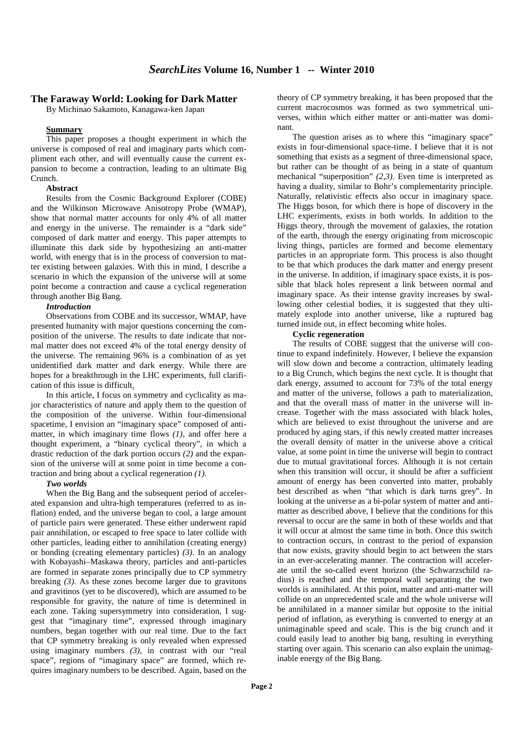#### **The Faraway World: Looking for Dark Matter**

By Michinao Sakamoto, Kanagawa-ken Japan

#### **Summary**

This paper proposes a thought experiment in which the universe is composed of real and imaginary parts which compliment each other, and will eventually cause the current expansion to become a contraction, leading to an ultimate Big Crunch.

#### **Abstract**

Results from the Cosmic Background Explorer (COBE) and the Wilkinson Microwave Anisotropy Probe (WMAP), show that normal matter accounts for only 4% of all matter and energy in the universe. The remainder is a "dark side" composed of dark matter and energy. This paper attempts to illuminate this dark side by hypothesizing an anti-matter world, with energy that is in the process of conversion to matter existing between galaxies. With this in mind, I describe a scenario in which the expansion of the universe will at some point become a contraction and cause a cyclical regeneration through another Big Bang.

#### *Introduction*

Observations from COBE and its successor, WMAP, have presented humanity with major questions concerning the composition of the universe. The results to date indicate that normal matter does not exceed 4% of the total energy density of the universe. The remaining 96% is a combination of as yet unidentified dark matter and dark energy. While there are hopes for a breakthrough in the LHC experiments, full clarification of this issue is difficult.

In this article, I focus on symmetry and cyclicality as major characteristics of nature and apply them to the question of the composition of the universe. Within four-dimensional spacetime, I envision an "imaginary space" composed of antimatter, in which imaginary time flows *(1)*, and offer here a thought experiment, a "binary cyclical theory", in which a drastic reduction of the dark portion occurs *(2)* and the expansion of the universe will at some point in time become a contraction and bring about a cyclical regeneration *(1)*.

#### *Two worlds*

When the Big Bang and the subsequent period of accelerated expansion and ultra-high temperatures (referred to as inflation) ended, and the universe began to cool, a large amount of particle pairs were generated. These either underwent rapid pair annihilation, or escaped to free space to later collide with other particles, leading either to annihilation (creating energy) or bonding (creating elementary particles) *(3)*. In an analogy with Kobayashi–Maskawa theory, particles and anti-particles are formed in separate zones principally due to CP symmetry breaking *(3)*. As these zones become larger due to gravitons and gravitinos (yet to be discovered), which are assumed to be responsible for gravity, the nature of time is determined in each zone. Taking supersymmetry into consideration, I suggest that "imaginary time", expressed through imaginary numbers, began together with our real time. Due to the fact that CP symmetry breaking is only revealed when expressed using imaginary numbers *(3)*, in contrast with our "real space", regions of "imaginary space" are formed, which requires imaginary numbers to be described. Again, based on the

theory of CP symmetry breaking, it has been proposed that the current macrocosmos was formed as two symmetrical universes, within which either matter or anti-matter was dominant.

The question arises as to where this "imaginary space" exists in four-dimensional space-time. I believe that it is not something that exists as a segment of three-dimensional space, but rather can be thought of as being in a state of quantum mechanical "superposition" *(2,3)*. Even time is interpreted as having a duality, similar to Bohr's complementarity principle. Naturally, relativistic effects also occur in imaginary space. The Higgs boson, for which there is hope of discovery in the LHC experiments, exists in both worlds. In addition to the Higgs theory, through the movement of galaxies, the rotation of the earth, through the energy originating from microscopic living things, particles are formed and become elementary particles in an appropriate form. This process is also thought to be that which produces the dark matter and energy present in the universe. In addition, if imaginary space exists, it is possible that black holes represent a link between normal and imaginary space. As their intense gravity increases by swallowing other celestial bodies, it is suggested that they ultimately explode into another universe, like a ruptured bag turned inside out, in effect becoming white holes.

#### **Cyclic regeneration**

The results of COBE suggest that the universe will continue to expand indefinitely. However, I believe the expansion will slow down and become a contraction, ultimately leading to a Big Crunch, which begins the next cycle. It is thought that dark energy, assumed to account for 73% of the total energy and matter of the universe, follows a path to materialization, and that the overall mass of matter in the universe will increase. Together with the mass associated with black holes, which are believed to exist throughout the universe and are produced by aging stars, if this newly created matter increases the overall density of matter in the universe above a critical value, at some point in time the universe will begin to contract due to mutual gravitational forces. Although it is not certain when this transition will occur, it should be after a sufficient amount of energy has been converted into matter, probably best described as when "that which is dark turns grey". In looking at the universe as a bi-polar system of matter and antimatter as described above, I believe that the conditions for this reversal to occur are the same in both of these worlds and that it will occur at almost the same time in both. Once this switch to contraction occurs, in contrast to the period of expansion that now exists, gravity should begin to act between the stars in an ever-accelerating manner. The contraction will accelerate until the so-called event horizon (the Schwarzschild radius) is reached and the temporal wall separating the two worlds is annihilated. At this point, matter and anti-matter will collide on an unprecedented scale and the whole universe will be annihilated in a manner similar but opposite to the initial period of inflation, as everything is converted to energy at an unimaginable speed and scale. This is the big crunch and it could easily lead to another big bang, resulting in everything starting over again. This scenario can also explain the unimaginable energy of the Big Bang.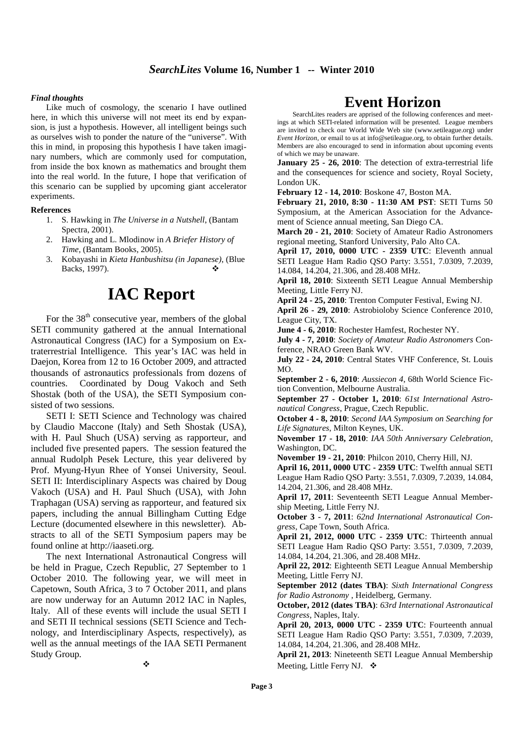## *SearchLites* **Volume 16, Number 1 -- Winter 2010**

#### *Final thoughts*

Like much of cosmology, the scenario I have outlined here, in which this universe will not meet its end by expansion, is just a hypothesis. However, all intelligent beings such as ourselves wish to ponder the nature of the "universe". With this in mind, in proposing this hypothesis I have taken imaginary numbers, which are commonly used for computation, from inside the box known as mathematics and brought them into the real world. In the future, I hope that verification of this scenario can be supplied by upcoming giant accelerator experiments.

#### **References**

- 1. S. Hawking in *The Universe in a Nutshell*, (Bantam Spectra, 2001).
- 2. Hawking and L. Mlodinow in *A Briefer History of Time*, (Bantam Books, 2005).
- 3. Kobayashi in *Kieta Hanbushitsu (in Japanese)*, (Blue Backs, 1997).

# **IAC Report**

For the  $38<sup>th</sup>$  consecutive year, members of the global SETI community gathered at the annual International Astronautical Congress (IAC) for a Symposium on Extraterrestrial Intelligence. This year's IAC was held in Daejon, Korea from 12 to 16 October 2009, and attracted thousands of astronautics professionals from dozens of countries. Coordinated by Doug Vakoch and Seth Shostak (both of the USA), the SETI Symposium consisted of two sessions.

SETI I: SETI Science and Technology was chaired by Claudio Maccone (Italy) and Seth Shostak (USA), with H. Paul Shuch (USA) serving as rapporteur, and included five presented papers. The session featured the annual Rudolph Pesek Lecture, this year delivered by Prof. Myung-Hyun Rhee of Yonsei University, Seoul. SETI II: Interdisciplinary Aspects was chaired by Doug Vakoch (USA) and H. Paul Shuch (USA), with John Traphagan (USA) serving as rapporteur, and featured six papers, including the annual Billingham Cutting Edge Lecture (documented elsewhere in this newsletter). Abstracts to all of the SETI Symposium papers may be found online at http://iaaseti.org.

The next International Astronautical Congress will be held in Prague, Czech Republic, 27 September to 1 October 2010. The following year, we will meet in Capetown, South Africa, 3 to 7 October 2011, and plans are now underway for an Autumn 2012 IAC in Naples, Italy. All of these events will include the usual SETI I and SETI II technical sessions (SETI Science and Technology, and Interdisciplinary Aspects, respectively), as well as the annual meetings of the IAA SETI Permanent Study Group.

# **Event Horizon**

SearchLites readers are apprised of the following conferences and meetings at which SETI-related information will be presented. League members are invited to check our World Wide Web site (www.setileague.org) under *Event Horizon*, or email to us at info@setileague.org, to obtain further details. Members are also encouraged to send in information about upcoming events of which we may be unaware.

**January 25 - 26, 2010**: The detection of extra-terrestrial life and the consequences for science and society, Royal Society, London UK.

**February 12 - 14, 2010**: Boskone 47, Boston MA.

**February 21, 2010, 8:30 - 11:30 AM PST**: SETI Turns 50 Symposium, at the American Association for the Advancement of Science annual meeting, San Diego CA.

**March 20 - 21, 2010**: Society of Amateur Radio Astronomers regional meeting, Stanford University, Palo Alto CA.

**April 17, 2010, 0000 UTC - 2359 UTC**: Eleventh annual SETI League Ham Radio QSO Party: 3.551, 7.0309, 7.2039, 14.084, 14.204, 21.306, and 28.408 MHz.

**April 18, 2010**: Sixteenth SETI League Annual Membership Meeting, Little Ferry NJ.

**April 24 - 25, 2010**: Trenton Computer Festival, Ewing NJ.

**April 26 - 29, 2010**: Astrobioloby Science Conference 2010, League City, TX.

**June 4 - 6, 2010**: Rochester Hamfest, Rochester NY.

**July 4 - 7, 2010**: *Society of Amateur Radio Astronomers* Conference, NRAO Green Bank WV.

**July 22 - 24, 2010**: Central States VHF Conference, St. Louis MO.

**September 2 - 6, 2010**: *Aussiecon 4*, 68th World Science Fiction Convention, Melbourne Australia.

**September 27 - October 1, 2010**: *61st International Astronautical Congress*, Prague, Czech Republic.

**October 4 - 8, 2010**: *Second IAA Symposium on Searching for Life Signatures*, Milton Keynes, UK.

**November 17 - 18, 2010**: *IAA 50th Anniversary Celebration*, Washington, DC.

**November 19 - 21, 2010**: Philcon 2010, Cherry Hill, NJ.

**April 16, 2011, 0000 UTC - 2359 UTC**: Twelfth annual SETI League Ham Radio QSO Party: 3.551, 7.0309, 7.2039, 14.084, 14.204, 21.306, and 28.408 MHz.

**April 17, 2011**: Seventeenth SETI League Annual Membership Meeting, Little Ferry NJ.

**October 3 - 7, 2011**: *62nd International Astronautical Congress*, Cape Town, South Africa.

**April 21, 2012, 0000 UTC - 2359 UTC**: Thirteenth annual SETI League Ham Radio QSO Party: 3.551, 7.0309, 7.2039, 14.084, 14.204, 21.306, and 28.408 MHz.

**April 22, 2012**: Eighteenth SETI League Annual Membership Meeting, Little Ferry NJ.

**September 2012 (dates TBA)**: *Sixth International Congress for Radio Astronomy* , Heidelberg, Germany.

**October, 2012 (dates TBA)**: *63rd International Astronautical Congress*, Naples, Italy.

**April 20, 2013, 0000 UTC - 2359 UTC**: Fourteenth annual SETI League Ham Radio QSO Party: 3.551, 7.0309, 7.2039, 14.084, 14.204, 21.306, and 28.408 MHz.

**April 21, 2013**: Nineteenth SETI League Annual Membership Meeting, Little Ferry NJ. ❖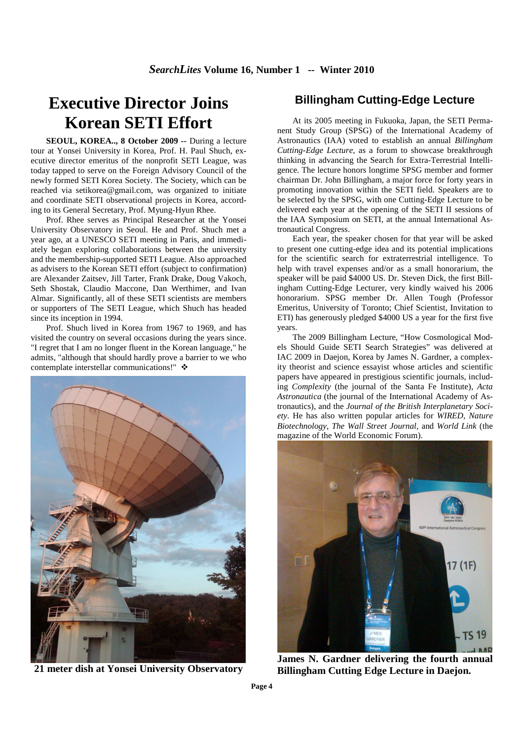# **Executive Director Joins Korean SETI Effort**

**SEOUL, KOREA.., 8 October 2009 --** During a lecture tour at Yonsei University in Korea, Prof. H. Paul Shuch, executive director emeritus of the nonprofit SETI League, was today tapped to serve on the Foreign Advisory Council of the newly formed SETI Korea Society. The Society, which can be reached via setikorea@gmail.com, was organized to initiate and coordinate SETI observational projects in Korea, according to its General Secretary, Prof. Myung-Hyun Rhee.

Prof. Rhee serves as Principal Researcher at the Yonsei University Observatory in Seoul. He and Prof. Shuch met a year ago, at a UNESCO SETI meeting in Paris, and immediately began exploring collaborations between the university and the membership-supported SETI League. Also approached as advisers to the Korean SETI effort (subject to confirmation) are Alexander Zaitsev, Jill Tarter, Frank Drake, Doug Vakoch, Seth Shostak, Claudio Maccone, Dan Werthimer, and Ivan Almar. Significantly, all of these SETI scientists are members or supporters of The SETI League, which Shuch has headed since its inception in 1994.

Prof. Shuch lived in Korea from 1967 to 1969, and has visited the country on several occasions during the years since. "I regret that I am no longer fluent in the Korean language," he admits, "although that should hardly prove a barrier to we who contemplate interstellar communications!" ❖



**21 meter dish at Yonsei University Observatory** 

## **Billingham Cutting-Edge Lecture**

At its 2005 meeting in Fukuoka, Japan, the SETI Permanent Study Group (SPSG) of the International Academy of Astronautics (IAA) voted to establish an annual *Billingham Cutting-Edge Lecture*, as a forum to showcase breakthrough thinking in advancing the Search for Extra-Terrestrial Intelligence. The lecture honors longtime SPSG member and former chairman Dr. John Billingham, a major force for forty years in promoting innovation within the SETI field. Speakers are to be selected by the SPSG, with one Cutting-Edge Lecture to be delivered each year at the opening of the SETI II sessions of the IAA Symposium on SETI, at the annual International Astronautical Congress.

Each year, the speaker chosen for that year will be asked to present one cutting-edge idea and its potential implications for the scientific search for extraterrestrial intelligence. To help with travel expenses and/or as a small honorarium, the speaker will be paid \$4000 US. Dr. Steven Dick, the first Billingham Cutting-Edge Lecturer, very kindly waived his 2006 honorarium. SPSG member Dr. Allen Tough (Professor Emeritus, University of Toronto; Chief Scientist, Invitation to ETI) has generously pledged \$4000 US a year for the first five years.

The 2009 Billingham Lecture, "How Cosmological Models Should Guide SETI Search Strategies" was delivered at IAC 2009 in Daejon, Korea by James N. Gardner, a complexity theorist and science essayist whose articles and scientific papers have appeared in prestigious scientific journals, including *Complexity* (the journal of the Santa Fe Institute), *Acta Astronautica* (the journal of the International Academy of Astronautics), and the *Journal of the British Interplanetary Society*. He has also written popular articles for *WIRED*, *Nature Biotechnology*, *The Wall Street Journal*, and *World Link* (the magazine of the World Economic Forum).



**James N. Gardner delivering the fourth annual Billingham Cutting Edge Lecture in Daejon.**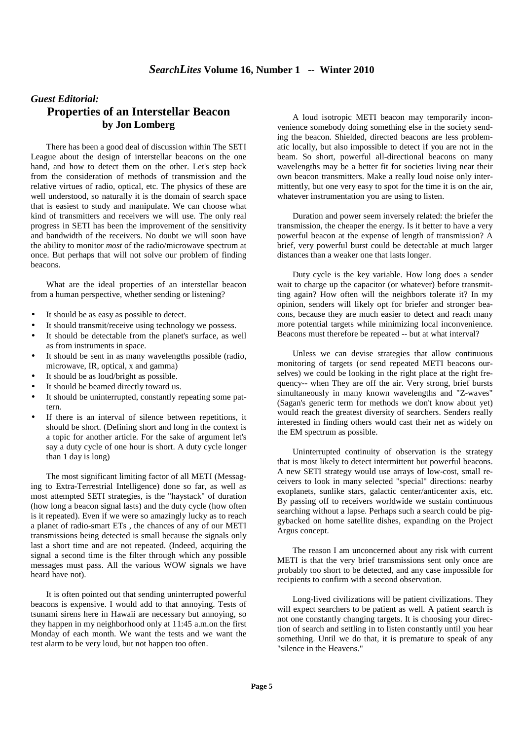## *Guest Editorial:*  **Properties of an Interstellar Beacon by Jon Lomberg**

There has been a good deal of discussion within The SETI League about the design of interstellar beacons on the one hand, and how to detect them on the other. Let's step back from the consideration of methods of transmission and the relative virtues of radio, optical, etc. The physics of these are well understood, so naturally it is the domain of search space that is easiest to study and manipulate. We can choose what kind of transmitters and receivers we will use. The only real progress in SETI has been the improvement of the sensitivity and bandwidth of the receivers. No doubt we will soon have the ability to monitor *most* of the radio/microwave spectrum at once. But perhaps that will not solve our problem of finding beacons.

What are the ideal properties of an interstellar beacon from a human perspective, whether sending or listening?

- It should be as easy as possible to detect.
- It should transmit/receive using technology we possess.
- It should be detectable from the planet's surface, as well as from instruments in space.
- It should be sent in as many wavelengths possible (radio, microwave, IR, optical, x and gamma)
- It should be as loud/bright as possible.
- It should be beamed directly toward us.
- It should be uninterrupted, constantly repeating some pattern.
- If there is an interval of silence between repetitions, it should be short. (Defining short and long in the context is a topic for another article. For the sake of argument let's say a duty cycle of one hour is short. A duty cycle longer than 1 day is long)

The most significant limiting factor of all METI (Messaging to Extra-Terrestrial Intelligence) done so far, as well as most attempted SETI strategies, is the "haystack" of duration (how long a beacon signal lasts) and the duty cycle (how often is it repeated). Even if we were so amazingly lucky as to reach a planet of radio-smart ETs , the chances of any of our METI transmissions being detected is small because the signals only last a short time and are not repeated. (Indeed, acquiring the signal a second time is the filter through which any possible messages must pass. All the various WOW signals we have heard have not).

It is often pointed out that sending uninterrupted powerful beacons is expensive. I would add to that annoying. Tests of tsunami sirens here in Hawaii are necessary but annoying, so they happen in my neighborhood only at 11:45 a.m.on the first Monday of each month. We want the tests and we want the test alarm to be very loud, but not happen too often.

A loud isotropic METI beacon may temporarily inconvenience somebody doing something else in the society sending the beacon. Shielded, directed beacons are less problematic locally, but also impossible to detect if you are not in the beam. So short, powerful all-directional beacons on many wavelengths may be a better fit for societies living near their own beacon transmitters. Make a really loud noise only intermittently, but one very easy to spot for the time it is on the air, whatever instrumentation you are using to listen.

Duration and power seem inversely related: the briefer the transmission, the cheaper the energy. Is it better to have a very powerful beacon at the expense of length of transmission? A brief, very powerful burst could be detectable at much larger distances than a weaker one that lasts longer.

Duty cycle is the key variable. How long does a sender wait to charge up the capacitor (or whatever) before transmitting again? How often will the neighbors tolerate it? In my opinion, senders will likely opt for briefer and stronger beacons, because they are much easier to detect and reach many more potential targets while minimizing local inconvenience. Beacons must therefore be repeated -- but at what interval?

Unless we can devise strategies that allow continuous monitoring of targets (or send repeated METI beacons ourselves) we could be looking in the right place at the right frequency-- when They are off the air. Very strong, brief bursts simultaneously in many known wavelengths and "Z-waves" (Sagan's generic term for methods we don't know about yet) would reach the greatest diversity of searchers. Senders really interested in finding others would cast their net as widely on the EM spectrum as possible.

Uninterrupted continuity of observation is the strategy that is most likely to detect intermittent but powerful beacons. A new SETI strategy would use arrays of low-cost, small receivers to look in many selected "special" directions: nearby exoplanets, sunlike stars, galactic center/anticenter axis, etc. By passing off to receivers worldwide we sustain continuous searching without a lapse. Perhaps such a search could be piggybacked on home satellite dishes, expanding on the Project Argus concept.

The reason I am unconcerned about any risk with current METI is that the very brief transmissions sent only once are probably too short to be detected, and any case impossible for recipients to confirm with a second observation.

Long-lived civilizations will be patient civilizations. They will expect searchers to be patient as well. A patient search is not one constantly changing targets. It is choosing your direction of search and settling in to listen constantly until you hear something. Until we do that, it is premature to speak of any "silence in the Heavens."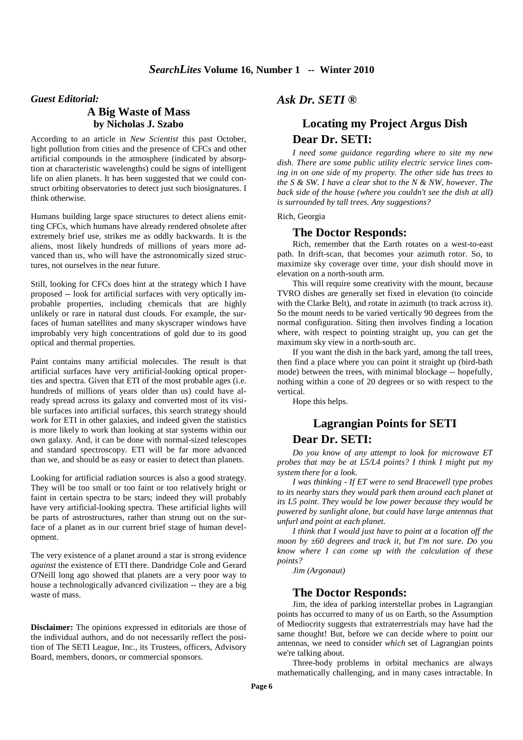#### *Guest Editorial:*

## **A Big Waste of Mass by Nicholas J. Szabo**

According to an article in *New Scientist* this past October, light pollution from cities and the presence of CFCs and other artificial compounds in the atmosphere (indicated by absorption at characteristic wavelengths) could be signs of intelligent life on alien planets. It has been suggested that we could construct orbiting observatories to detect just such biosignatures. I think otherwise.

Humans building large space structures to detect aliens emitting CFCs, which humans have already rendered obsolete after extremely brief use, strikes me as oddly backwards. It is the aliens, most likely hundreds of millions of years more advanced than us, who will have the astronomically sized structures, not ourselves in the near future.

Still, looking for CFCs does hint at the strategy which I have proposed -- look for artificial surfaces with very optically improbable properties, including chemicals that are highly unlikely or rare in natural dust clouds. For example, the surfaces of human satellites and many skyscraper windows have improbably very high concentrations of gold due to its good optical and thermal properties.

Paint contains many artificial molecules. The result is that artificial surfaces have very artificial-looking optical properties and spectra. Given that ETI of the most probable ages (i.e. hundreds of millions of years older than us) could have already spread across its galaxy and converted most of its visible surfaces into artificial surfaces, this search strategy should work for ETI in other galaxies, and indeed given the statistics is more likely to work than looking at star systems within our own galaxy. And, it can be done with normal-sized telescopes and standard spectroscopy. ETI will be far more advanced than we, and should be as easy or easier to detect than planets.

Looking for artificial radiation sources is also a good strategy. They will be too small or too faint or too relatively bright or faint in certain spectra to be stars; indeed they will probably have very artificial-looking spectra. These artificial lights will be parts of astrostructures, rather than strung out on the surface of a planet as in our current brief stage of human development.

The very existence of a planet around a star is strong evidence *against* the existence of ETI there. Dandridge Cole and Gerard O'Neill long ago showed that planets are a very poor way to house a technologically advanced civilization -- they are a big waste of mass.

**Disclaimer:** The opinions expressed in editorials are those of the individual authors, and do not necessarily reflect the position of The SETI League, Inc., its Trustees, officers, Advisory Board, members, donors, or commercial sponsors.

*Ask Dr. SETI ®* 

# **Locating my Project Argus Dish Dear Dr. SETI:**

 *I need some guidance regarding where to site my new dish. There are some public utility electric service lines coming in on one side of my property. The other side has trees to the S & SW. I have a clear shot to the N & NW, however. The back side of the house (where you couldn't see the dish at all) is surrounded by tall trees. Any suggestions?* 

Rich, Georgia

#### **The Doctor Responds:**

Rich, remember that the Earth rotates on a west-to-east path. In drift-scan, that becomes your azimuth rotor. So, to maximize sky coverage over time, your dish should move in elevation on a north-south arm.

This will require some creativity with the mount, because TVRO dishes are generally set fixed in elevation (to coincide with the Clarke Belt), and rotate in azimuth (to track across it). So the mount needs to be varied vertically 90 degrees from the normal configuration. Siting then involves finding a location where, with respect to pointing straight up, you can get the maximum sky view in a north-south arc.

If you want the dish in the back yard, among the tall trees, then find a place where you can point it straight up (bird-bath mode) between the trees, with minimal blockage -- hopefully, nothing within a cone of 20 degrees or so with respect to the vertical.

Hope this helps.

# **Lagrangian Points for SETI Dear Dr. SETI:**

 *Do you know of any attempt to look for microwave ET probes that may be at L5/L4 points? I think I might put my system there for a look.* 

*I was thinking - If ET were to send Bracewell type probes to its nearby stars they would park them around each planet at its L5 point. They would be low power because they would be powered by sunlight alone, but could have large antennas that unfurl and point at each planet.*

*I think that I would just have to point at a location off the moon by ±60 degrees and track it, but I'm not sure. Do you know where I can come up with the calculation of these points?*

*Jim (Argonaut)* 

#### **The Doctor Responds:**

Jim, the idea of parking interstellar probes in Lagrangian points has occurred to many of us on Earth, so the Assumption of Mediocrity suggests that extraterrestrials may have had the same thought! But, before we can decide where to point our antennas, we need to consider *which* set of Lagrangian points we're talking about.

Three-body problems in orbital mechanics are always mathematically challenging, and in many cases intractable. In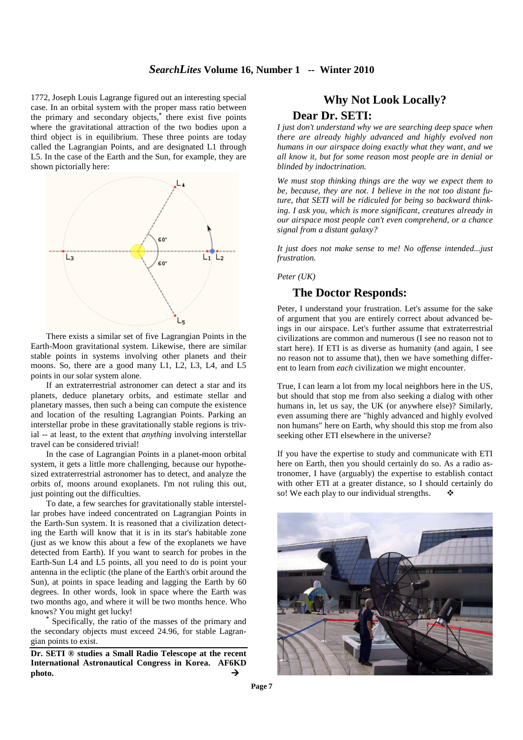#### *SearchLites* **Volume 16, Number 1 -- Winter 2010**

1772, Joseph Louis Lagrange figured out an interesting special case. In an orbital system with the proper mass ratio between the primary and secondary objects,**\*** there exist five points where the gravitational attraction of the two bodies upon a third object is in equilibrium. These three points are today called the Lagrangian Points, and are designated L1 through L5. In the case of the Earth and the Sun, for example, they are shown pictorially here:



There exists a similar set of five Lagrangian Points in the Earth-Moon gravitational system. Likewise, there are similar stable points in systems involving other planets and their moons. So, there are a good many L1, L2, L3, L4, and L5 points in our solar system alone.

If an extraterrestrial astronomer can detect a star and its planets, deduce planetary orbits, and estimate stellar and planetary masses, then such a being can compute the existence and location of the resulting Lagrangian Points. Parking an interstellar probe in these gravitationally stable regions is trivial -- at least, to the extent that *anything* involving interstellar travel can be considered trivial!

In the case of Lagrangian Points in a planet-moon orbital system, it gets a little more challenging, because our hypothesized extraterrestrial astronomer has to detect, and analyze the orbits of, moons around exoplanets. I'm not ruling this out, just pointing out the difficulties.

To date, a few searches for gravitationally stable interstellar probes have indeed concentrated on Lagrangian Points in the Earth-Sun system. It is reasoned that a civilization detecting the Earth will know that it is in its star's habitable zone (just as we know this about a few of the exoplanets we have detected from Earth). If you want to search for probes in the Earth-Sun L4 and L5 points, all you need to do is point your antenna in the ecliptic (the plane of the Earth's orbit around the Sun), at points in space leading and lagging the Earth by 60 degrees. In other words, look in space where the Earth was two months ago, and where it will be two months hence. Who knows? You might get lucky!

**\*** Specifically, the ratio of the masses of the primary and the secondary objects must exceed 24.96, for stable Lagrangian points to exist.

**Dr. SETI ® studies a Small Radio Telescope at the recent International Astronautical Congress in Korea. AF6KD**  photo.  $\rightarrow$ 

## **Why Not Look Locally?**

## **Dear Dr. SETI:**

*I just don't understand why we are searching deep space when there are already highly advanced and highly evolved non humans in our airspace doing exactly what they want, and we all know it, but for some reason most people are in denial or blinded by indoctrination.*

*We must stop thinking things are the way we expect them to be, because, they are not. I believe in the not too distant future, that SETI will be ridiculed for being so backward thinking. I ask you, which is more significant, creatures already in our airspace most people can't even comprehend, or a chance signal from a distant galaxy?*

*It just does not make sense to me! No offense intended...just frustration.* 

*Peter (UK)*

## **The Doctor Responds:**

Peter, I understand your frustration. Let's assume for the sake of argument that you are entirely correct about advanced beings in our airspace. Let's further assume that extraterrestrial civilizations are common and numerous (I see no reason not to start here). If ETI is as diverse as humanity (and again, I see no reason not to assume that), then we have something different to learn from *each* civilization we might encounter.

True, I can learn a lot from my local neighbors here in the US, but should that stop me from also seeking a dialog with other humans in, let us say, the UK (or anywhere else)? Similarly, even assuming there are "highly advanced and highly evolved non humans" here on Earth, why should this stop me from also seeking other ETI elsewhere in the universe?

If you have the expertise to study and communicate with ETI here on Earth, then you should certainly do so. As a radio astronomer, I have (arguably) the expertise to establish contact with other ETI at a greater distance, so I should certainly do so! We each play to our individual strengths.